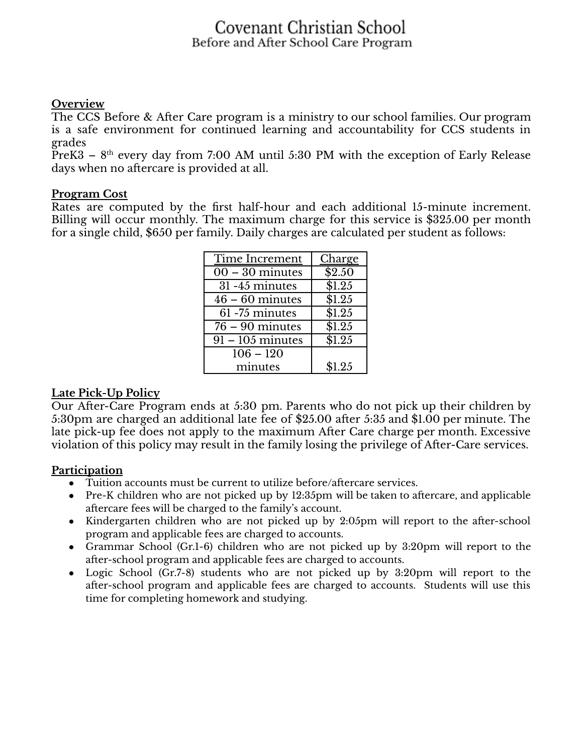## Covenant Christian School Before and After School Care Program

### **Overview**

The CCS Before & After Care program is a ministry to our school families. Our program is a safe environment for continued learning and accountability for CCS students in grades

PreK3 –  $8<sup>th</sup>$  every day from 7:00 AM until 5:30 PM with the exception of Early Release days when no aftercare is provided at all.

#### **Program Cost**

Rates are computed by the first half-hour and each additional 15-minute increment. Billing will occur monthly. The maximum charge for this service is \$325.00 per month for a single child, \$650 per family. Daily charges are calculated per student as follows:

| Time Increment               | Charge         |
|------------------------------|----------------|
| $\overline{00-30}$ minutes   | $\sqrt{$2.50}$ |
| 31-45 minutes                | \$1.25         |
| $\overline{46}$ – 60 minutes | \$1.25         |
| 61-75 minutes                | \$1.25         |
| $76 - 90$ minutes            | \$1.25         |
| $91 - 105$ minutes           | \$1.25         |
| $106 - 120$                  |                |
| minutes                      | \$1.25         |

#### **Late Pick-Up Policy**

Our After-Care Program ends at 5:30 pm. Parents who do not pick up their children by 5:30pm are charged an additional late fee of \$25.00 after 5:35 and \$1.00 per minute. The late pick-up fee does not apply to the maximum After Care charge per month. Excessive violation of this policy may result in the family losing the privilege of After-Care services.

#### **Participation**

- Tuition accounts must be current to utilize before/aftercare services.
- Pre-K children who are not picked up by 12:35pm will be taken to aftercare, and applicable aftercare fees will be charged to the family's account.
- Kindergarten children who are not picked up by 2:05pm will report to the after-school program and applicable fees are charged to accounts.
- Grammar School (Gr.1-6) children who are not picked up by 3:20pm will report to the after-school program and applicable fees are charged to accounts.
- Logic School (Gr.7-8) students who are not picked up by 3:20pm will report to the after-school program and applicable fees are charged to accounts. Students will use this time for completing homework and studying.